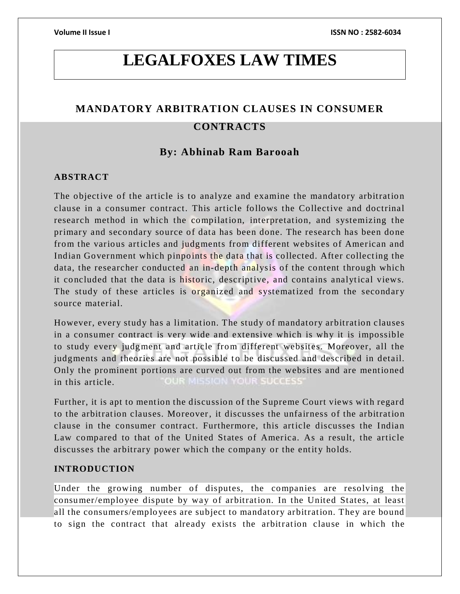# **LEGALFOXES LAW TIMES**

## **MANDATORY ARBITRATION CLAUSES IN CONSUMER**

### **CONTRACTS**

### **By: Abhinab Ram Barooah**

### **ABSTRACT**

The objective of the article is to analyze and examine the mandatory arbitration clause in a consumer contract. This article follows the Collective and doctrinal research method in which the compilation, interpretation, and systemizing the primary and secondary source of data has been done. The research has been done from the various articles and judgments from different websites of American and Indian Government which pinpoints the data that is collected. After collecting the data, the researcher conducted an in-depth analysis of the content through which it concluded that the data is historic, descriptive, and contains analytical views. The study of these articles is organized and systematized from the secondary source material.

However, every study has a limitation. The study of mandatory arbitration clauses in a consumer contract is very wide and extensive which is why it is impossible to study every judgment and article from different websites. Moreover, all the judgments and theories are not possible to be discussed and described in detail. Only the prominent portions are curved out from the websites and are mentioned in this article.

Further, it is apt to mention the discussion of the Supreme Court views with regard to the arbitration clauses. Moreover, it discusses the unfairness of the arbitration clause in the consumer contract. Furthermore, this article discusses the Indian Law compared to that of the United States of America. As a result, the article discusses the arbitrary power which the company or the entity holds.

### **INTRODUCTION**

Under the growing number of disputes, the companies are resolving the consumer/employee dispute by way of arbitration. In the United States, at least all the consumers/employees are subject to mandatory arbitration. They are bound to sign the contract that already exists the arbitration clause in which the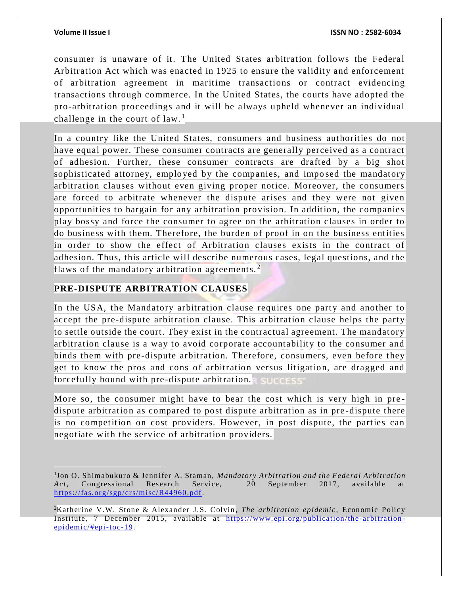$\overline{a}$ 

consumer is unaware of it. The United States arbitration follows the Federal Arbitration Act which was enacted in 1925 to ensure the validity and enforcement of arbitration agreement in maritime transactions or contract evidencing transactions through commerce. In the United States, the courts have adopted the pro-arbitration proceedings and it will be always upheld whenever an individual challenge in the court of  $law<sup>1</sup>$ .

In a country like the United States, consumers and business authorities do not have equal power. These consumer contracts are generally perceived as a contract of adhesion. Further, these consumer contracts are drafted by a big shot sophisticated attorney, employed by the companies, and impo sed the mandatory arbitration clauses without even giving proper notice. Moreover, the consumers are forced to arbitrate whenever the dispute arises and they were not given opportunities to bargain for any arbitration provision. In addition, the companies play bossy and force the consumer to agree on the arbitration clauses in order to do business with them. Therefore, the burden of proof in on the business entities in order to show the effect of Arbitration clauses exists in the contract of adhesion. Thus, this article will describe numerous cases, legal questions, and the flaws of the mandatory arbitration agreements. $2$ 

### **PRE-DISPUTE ARBITRATION CLAUSES**

In the USA, the Mandatory arbitration clause requires one party and another to accept the pre-dispute arbitration clause. This arbitration clause helps the party to settle outside the court. They exist in the contractual agreement. The mandatory arbitration clause is a way to avoid corporate accountability to the consumer and binds them with pre-dispute arbitration. Therefore, consumers, even before they get to know the pros and cons of arbitration versus litigation, are dragged and forcefully bound with pre-dispute arbitration.

More so, the consumer might have to bear the cost which is very high in pre dispute arbitration as compared to post dispute arbitration as in pre-dispute there is no competition on cost providers. However, in post dispute, the parties can negotiate with the service of arbitration providers.

<sup>1</sup> Jon O. Shimabukuro & Jennifer A. Staman, *Mandatory Arbitration and the Federal Arbitration Act*, Congressional Research Service, 20 September 2017, available at [https://fas.org/sgp/crs/misc/R44960.pdf.](https://fas.org/sgp/crs/misc/R44960.pdf)

<sup>&</sup>lt;sup>2</sup>Katherine V.W. Stone & Alexander J.S. Colvin, *The arbitration epidemic*, Economic Policy Institute, 7 December 2015, available at https://www.epi.org/publication/the-arbitration $epidemic/\n#epi-toc-19.$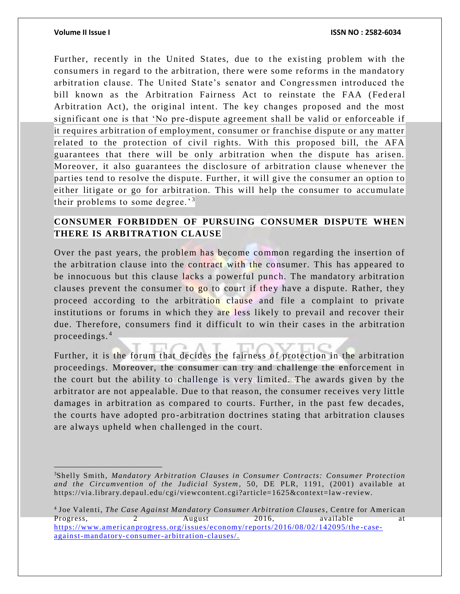$\overline{a}$ 

Further, recently in the United States, due to the existing problem with the consumers in regard to the arbitration, there were some reforms in the mandatory arbitration clause. The United State's senator and Congressmen introduced the bill known as the Arbitration Fairness Act to reinstate the FAA (Federal Arbitration Act), the original intent. The key changes proposed and the most significant one is that 'No pre -dispute agreement shall be valid or enforceable if it requires arbitration of employment, consumer or franchise dispute or any matter related to the protection of civil rights. With this proposed bill, the AFA guarantees that there will be only arbitration when the dispute has arisen. Moreover, it also guarantees the disclosure of arbitration clause whenever the parties tend to resolve the dispute. Further, it will give the consumer an option to either litigate or go for arbitration. This will help the consumer to accumulate their problems to some degree.<sup>3</sup>

### **CONSUMER FORBIDDEN OF PURSUING CONSUMER DISPUTE WHEN THERE IS ARBITRATION CLAUSE**

Over the past years, the problem has become common regarding the insertion of the arbitration clause into the contract with the consumer. This has appeared to be innocuous but this clause lacks a powerful punch. The mandatory arbitration clauses prevent the consumer to go to court if they have a dispute. Rather, they proceed according to the arbitration clause and file a complaint to private institutions or forums in which they are less likely to prevail and recover their due. Therefore, consumers find it difficult to win their cases in the arbitration proceedings. <sup>4</sup>

Further, it is the forum that decides the fairness of protection in the arbitration proceedings. Moreover, the consumer can try and challenge the enforcement in the court but the ability to challenge is very limited. The awards given by the arbitrator are not appealable. Due to that reason, the consumer receives very little damages in arbitration as compared to courts. Further, in the past few decades, the courts have adopted pro -arbitration doctrines stating that arbitration clauses are always upheld when challenged in the court.

4 Joe Valenti, *The Case Against Mandatory Consumer Arbitration Clauses*, Centre for American Progress, 2 August 2016, available at [https://www.americanprogress.org/issues/economy/reports/2016/08/02/142095/the](https://www.americanprogress.org/issues/economy/reports/2016/08/02/142095/the-case-against-mandatory-consumer-arbitration-clauses/) -caseagainst-mandatory- [consumer-arbitration](https://www.americanprogress.org/issues/economy/reports/2016/08/02/142095/the-case-against-mandatory-consumer-arbitration-clauses/) -clauses/.

<sup>3</sup>Shelly Smith, *Mandatory Arbitration Clauses in Consumer Contracts: Consumer Protection and the Circumvention of the Judicial System*, 50, DE PLR, 1191, (2001) available at https://via.library.depaul.edu/cgi/viewcontent.cgi?article=1625&context=law-review.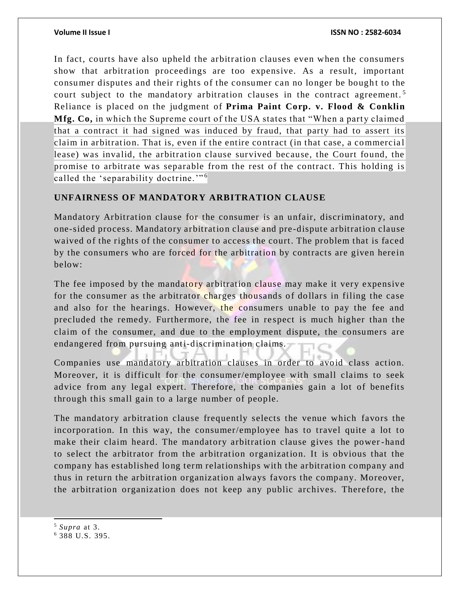In fact, courts have also upheld the arbitration clauses even when the consumers show that arbitration proceedings are too expensive. As a result, important consumer disputes and their rights of the consumer can no longer be bought to the court subject to the mandatory arbitration clauses in the contract agreement.<sup>5</sup> Reliance is placed on the judgment of **Prima Paint Corp. v. Flood & Conklin Mfg. Co,** in which the Supreme court of the USA states that "When a party claimed that a contract it had signed was induced by fraud, that party had to assert its claim in arbitration. That is, even if the entire contract (in that case, a commercia l lease) was invalid, the arbitration clause survived because, the Court found, the promise to arbitrate was separable from the rest of the contract. This holding is called the 'separability doctrine."<sup>6</sup>

### **UNFAIRNESS OF MANDATORY ARBITRATION CLAUSE**

Mandatory Arbitration clause for the consumer is an unfair, discriminatory, and one-sided process. Mandatory arbitration clause and pre-dispute arbitration clause waived of the rights of the consumer to access the court. The problem that is faced by the consumers who are forced for the arbitration by contracts are given herein below:

The fee imposed by the mandatory arbitration clause may make it very expensive for the consumer as the arbitrator charges thousands of dollars in filing the case and also for the hearings. However, the consumers unable to pay the fee and precluded the remedy. Furthermore, the fee in re spect is much higher than the claim of the consumer, and due to the emplo yment dispute, the consumers are endangered from pursuing anti-discrimination claims.

Companies use mandatory arbitration clauses in order to avoid class action. Moreover, it is difficult for the consumer/employee with small claims to seek advice from any legal expert. Therefore, the companies gain a lot of benefits through this small gain to a large number of people.

The mandatory arbitration clause frequently selects the venue which favors the incorporation. In this way, the consumer/employee has to travel quite a lot to make their claim heard. The mandatory arbitration clause gives the power -hand to select the arbitrator from the arbitration organization. It is obvious that the company has established long term relationships with the arbitration company and thus in return the arbitration organization always favors the company. Moreover, the arbitration organization does not keep any public archives. Therefore, the

<sup>5</sup> *Supra* at 3.

l

<sup>6</sup> 388 U.S. 395.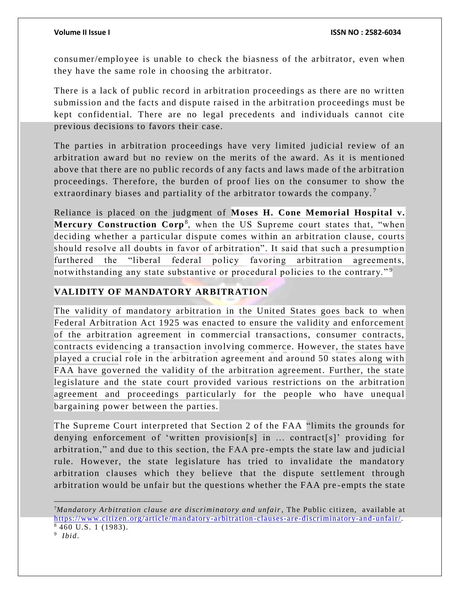consumer/employee is unable to check the biasness of the arbitrator, even when they have the same role in choosing the arbitrator.

There is a lack of public record in arbitration proceedings as there are no written submission and the facts and dispute raised in the arbitration proceedings must be kept confidential. There are no legal precedents and individuals cannot cite previous decisions to favors their case.

The parties in arbitration proceedings have very limited judicial review of an arbitration award but no review on the merits of the award. As it is mentioned above that there are no public records of any facts and laws made of the arbitration proceedings. Therefore, the burden of proof lies on the consumer to show the extraordinary biases and partiality of the arbitrator towards the company.<sup>7</sup>

Reliance is placed on the judgment of **Moses H. Cone Memorial Hospital v. Mercury Construction Corp**<sup>8</sup>, when the US Supreme court states that, "when deciding whether a particular dispute comes within an arbitration clause, courts should resolve all doubts in favor of arbitration". It said that such a presumption furthered the "liberal federal policy favoring arbitration agreements, notwithstanding any state substantive or procedural policies to the contrary."<sup>9</sup>

### **VALIDITY OF MANDATORY ARBITRATION**

The validity of mandatory arbitration in the United States goes back to when Federal Arbitration Act 1925 was enacted to ensure the validity and enforcement of the arbitration agreement in commercial transactions, consumer contracts, contracts evidencing a transaction involving commerce. However, the states have played a crucial role in the arbitration agreement and around 50 states along with FAA have governed the validity of the arbitration agreement. Further, the state legislature and the state court pro vided various restrictions on the arbitration agreement and proceedings particularly for the people who have unequal bargaining power between the parties.

The Supreme Court interpreted that Section 2 of the FAA "limits the grounds for denying enforcement of 'written provision[s] in ... contract[s]' providing for arbitration," and due to this section, the FAA pre-empts the state law and judicial rule. However, the state legislature has tried to invalidate the mandatory arbitration clauses which they believe that the dispute settlement through arbitration would be unfair but the questions whether the FAA pre -empts the state

 $\overline{a}$ 

<sup>7</sup>*Mandatory Arbitration clause are discriminatory and unfair*, The Public citizen, available at [https://www.citizen.org/article/mandatory-arbitration](https://www.citizen.org/article/mandatory-arbitration-clauses-are-discriminatory-and-unfair/) -clauses-are-discriminatory-and-unfair/. <sup>8</sup> 460 U.S. 1 (1983).

<sup>9</sup> *Ibid*.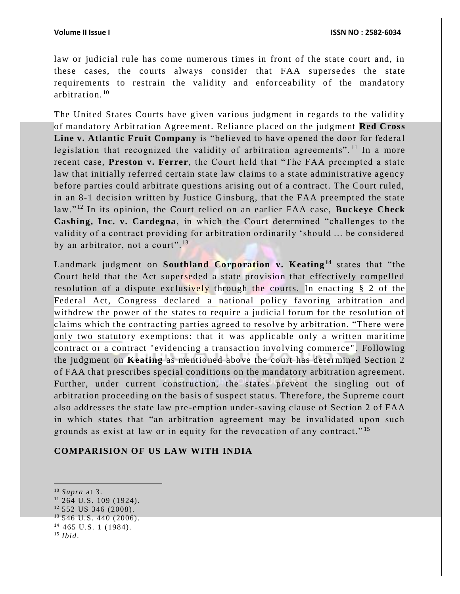law or judicial rule has come numerous times in front of the state court and, in these cases, the courts always consider that FAA supersedes the state requirements to restrain the validity and enforceability of the mandatory arbitration. <sup>10</sup>

The United States Courts have given various judgment in regards to the validity of mandatory Arbitration Agreement. Reliance placed on the judgment **Red Cross**  Line v. Atlantic Fruit Company is "believed to have opened the door for federal legislation that recognized the validity of arbitration agreements".<sup>11</sup> In a more recent case, **Preston v. Ferrer**, the Court held that "The FAA preempted a state law that initially referred certain state law claims to a state administrative agency before parties could arbitrate questions arising out of a contract. The Court ruled, in an 8-1 decision written by Justice Ginsburg, that the FAA preempted the state law." <sup>12</sup> In its opinion, the Court relied on an earlier FAA case, **Buckeye Check Cashing, Inc. v. Cardegna**, in which the Court determined "challenges to the validity of a contract providing for arbitration ordinarily 'should ... be considered by an arbitrator, not a court".<sup>13</sup>

Landmark judgment on **Southland Corporation v. Keating<sup>14</sup>** states that "the Court held that the Act superseded a state provision that effectively compelled resolution of a dispute exclusively through the courts. In enacting § 2 of the Federal Act, Congress declared a national policy favoring arbitration and withdrew the power of the states to require a judicial forum for the resolution of claims which the contracting parties agreed to resolve by arbitration. "There were only two statutory exemptions: that it was applicable only a written maritime contract or a contract "evidencing a transaction involving commerce" . Following the judgment on **Keating** as mentioned above the court has determined Section 2 of FAA that prescribes special conditions on the mandatory arbitration agreement. Further, under current construction, the states prevent the singling out of arbitration proceeding on the basis of suspect status. Therefore, the Supreme court also addresses the state law pre -emption under-saving clause of Section 2 of FAA in which states that "an arbitration agreement may be invalidated upon such grounds as exist at law or in equity for the revocation of any contract." <sup>15</sup>

### **COMPARISION OF US LAW WITH INDIA**

 $\overline{a}$ <sup>10</sup> *Supra* at 3.

<sup>11</sup> 264 U.S. 109 (1924).

 $12$  552 US 346 (2008).

 $13\,546$  U.S. 440 (2006).

<sup>14</sup> 465 U.S. 1 (1984).

<sup>15</sup> *Ibid*.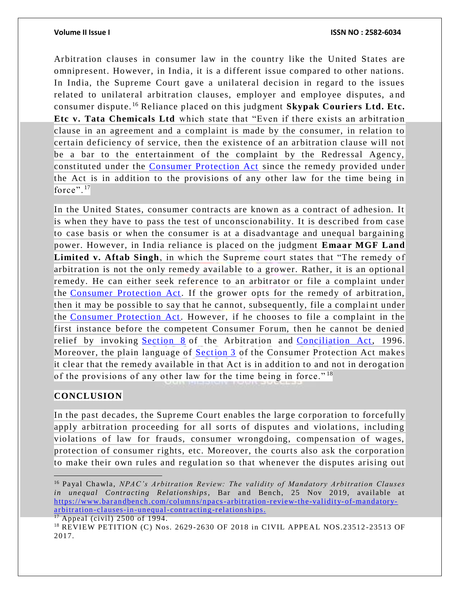Arbitration clauses in consumer law in the country like the United States are omnipresent. However, in India, it is a different issue compared to other nations. In India, the Supreme Court gave a unilateral decision in regard to the issues related to unilateral arbitration clauses, employer and employee disputes, a nd consumer dispute. <sup>16</sup> Reliance placed on this judgment **Skypak Couriers Ltd. Etc. Etc v. Tata Chemicals Ltd** which state that "Even if there exists an arbitration clause in an agreement and a complaint is made by the consumer, in relation to certain deficiency of service, then the existence of an arbitration clause will not be a bar to the entertainment of the complaint by the Redressal Agency, constituted under the [Consumer Protection Act](https://indiankanoon.org/doc/1733066/) since the remedy provided under the Act is in addition to the provisions of any other law for the time being in force". $17$ 

In the United States, consumer contracts are known as a contract of adhesion. It is when they have to pass the test of unconscionability. It is described from case to case basis or when the consumer is at a disadvantage and unequal bargaining power. However, in India reliance is placed on the judgment **Emaar MGF Land Limited v. Aftab Singh**, in which the Supreme court states that "The remedy of arbitration is not the only remedy available to a grower. Rather, it is an optional remedy. He can either seek reference to an arbitrator or file a complaint under the [Consumer Protection Act.](https://indiankanoon.org/doc/1733066/) If the grower opts for the remedy of arbitration, then it may be possible to say that he cannot, subsequently, file a complaint under the [Consumer Protection Act.](https://indiankanoon.org/doc/1733066/) However, if he chooses to file a complaint in the first instance before the competent Consumer Forum, then he cannot be denied relief by invoking [Section 8](https://indiankanoon.org/doc/1232861/) of the Arbitration and [Conciliation Act,](https://indiankanoon.org/doc/1306164/) 1996. Moreover, the plain language of **[Section 3](https://indiankanoon.org/doc/1202608/)** of the Consumer Protection Act makes it clear that the remedy available in that Act is in addition to and not in derogation of the provisions of any other law for the time being in force."<sup>18</sup>

### **CONCLUSION**

In the past decades, the Supreme Court enables the large corporation to forcefully apply arbitration proceeding for all sorts of disputes and violations, including violations of law for frauds, consumer wrongdoing, compensation of wages, protection of consumer rights, etc. Moreover, the courts also ask the corporation to make their own rules and regulation so that whenever the disputes arising out

 $\overline{a}$ <sup>16</sup> Payal Chawla, *NPAC's Arbitration Review: The validity of Mandatory Arbitration Clauses in unequal Contracting Relationships*, Bar and Bench, 25 Nov 2019, available at [https://www.barandbench.com/columns/npacs-arbitration](https://www.barandbench.com/columns/npacs-arbitration-review-the-validity-of-mandatory-arbitration-clauses-in-unequal-contracting-relationships)-review-the-validity-of-mandatoryarbitration [-clauses-in-unequal-contracting-relationships.](https://www.barandbench.com/columns/npacs-arbitration-review-the-validity-of-mandatory-arbitration-clauses-in-unequal-contracting-relationships)

 $17$  Appeal (civil) 2500 of 1994.

<sup>18</sup> REVIEW PETITION (C) Nos. 2629 -2630 OF 2018 in CIVIL APPEAL NOS.23512 -23513 OF 2017.